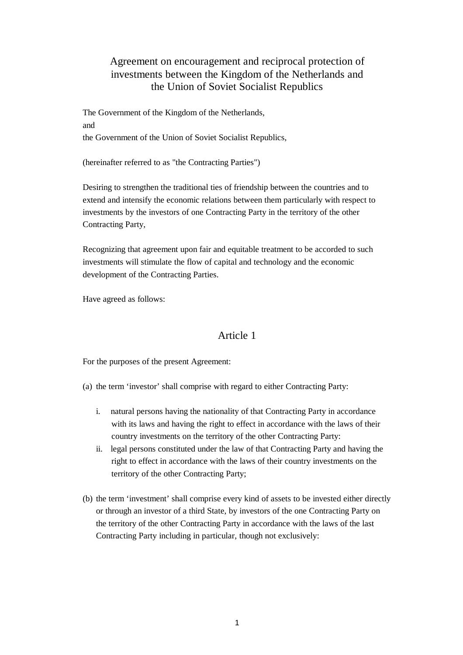# Agreement on encouragement and reciprocal protection of investments between the Kingdom of the Netherlands and the Union of Soviet Socialist Republics

The Government of the Kingdom of the Netherlands, and the Government of the Union of Soviet Socialist Republics,

(hereinafter referred to as "the Contracting Parties")

Desiring to strengthen the traditional ties of friendship between the countries and to extend and intensify the economic relations between them particularly with respect to investments by the investors of one Contracting Party in the territory of the other Contracting Party,

Recognizing that agreement upon fair and equitable treatment to be accorded to such investments will stimulate the flow of capital and technology and the economic development of the Contracting Parties.

Have agreed as follows:

## Article 1

For the purposes of the present Agreement:

(a) the term 'investor' shall comprise with regard to either Contracting Party:

- i. natural persons having the nationality of that Contracting Party in accordance with its laws and having the right to effect in accordance with the laws of their country investments on the territory of the other Contracting Party:
- ii. legal persons constituted under the law of that Contracting Party and having the right to effect in accordance with the laws of their country investments on the territory of the other Contracting Party;
- (b) the term 'investment' shall comprise every kind of assets to be invested either directly or through an investor of a third State, by investors of the one Contracting Party on the territory of the other Contracting Party in accordance with the laws of the last Contracting Party including in particular, though not exclusively: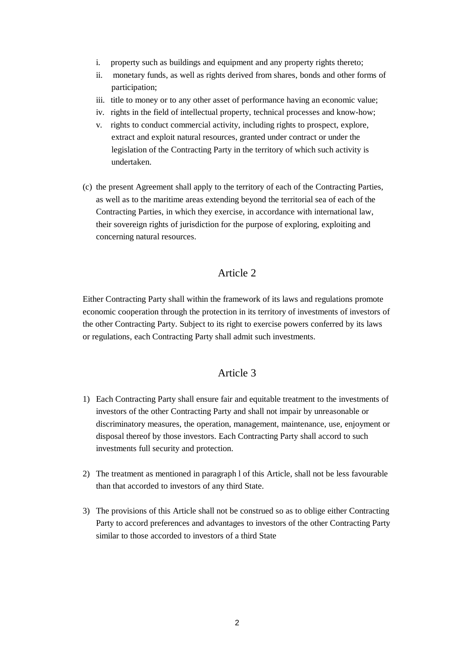- i. property such as buildings and equipment and any property rights thereto;
- ii. monetary funds, as well as rights derived from shares, bonds and other forms of participation;
- iii. title to money or to any other asset of performance having an economic value;
- iv. rights in the field of intellectual property, technical processes and know-how;
- v. rights to conduct commercial activity, including rights to prospect, explore, extract and exploit natural resources, granted under contract or under the legislation of the Contracting Party in the territory of which such activity is undertaken.
- (c) the present Agreement shall apply to the territory of each of the Contracting Parties, as well as to the maritime areas extending beyond the territorial sea of each of the Contracting Parties, in which they exercise, in accordance with international law, their sovereign rights of jurisdiction for the purpose of exploring, exploiting and concerning natural resources.

Either Contracting Party shall within the framework of its laws and regulations promote economic cooperation through the protection in its territory of investments of investors of the other Contracting Party. Subject to its right to exercise powers conferred by its laws or regulations, each Contracting Party shall admit such investments.

## Article 3

- 1) Each Contracting Party shall ensure fair and equitable treatment to the investments of investors of the other Contracting Party and shall not impair by unreasonable or discriminatory measures, the operation, management, maintenance, use, enjoyment or disposal thereof by those investors. Each Contracting Party shall accord to such investments full security and protection.
- 2) The treatment as mentioned in paragraph l of this Article, shall not be less favourable than that accorded to investors of any third State.
- 3) The provisions of this Article shall not be construed so as to oblige either Contracting Party to accord preferences and advantages to investors of the other Contracting Party similar to those accorded to investors of a third State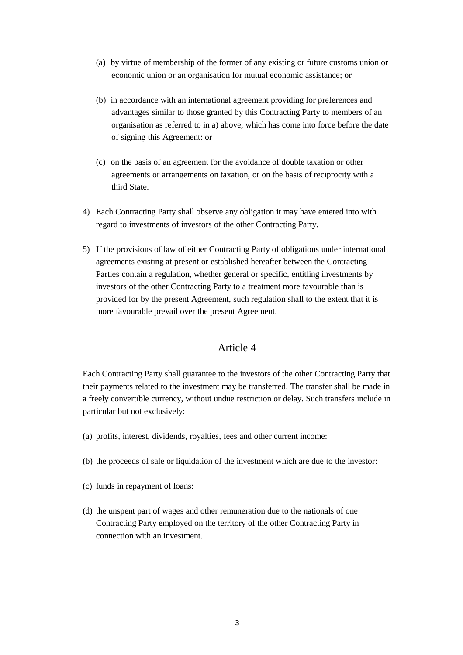- (a) by virtue of membership of the former of any existing or future customs union or economic union or an organisation for mutual economic assistance; or
- (b) in accordance with an international agreement providing for preferences and advantages similar to those granted by this Contracting Party to members of an organisation as referred to in a) above, which has come into force before the date of signing this Agreement: or
- (c) on the basis of an agreement for the avoidance of double taxation or other agreements or arrangements on taxation, or on the basis of reciprocity with a third State.
- 4) Each Contracting Party shall observe any obligation it may have entered into with regard to investments of investors of the other Contracting Party.
- 5) If the provisions of law of either Contracting Party of obligations under international agreements existing at present or established hereafter between the Contracting Parties contain a regulation, whether general or specific, entitling investments by investors of the other Contracting Party to a treatment more favourable than is provided for by the present Agreement, such regulation shall to the extent that it is more favourable prevail over the present Agreement.

Each Contracting Party shall guarantee to the investors of the other Contracting Party that their payments related to the investment may be transferred. The transfer shall be made in a freely convertible currency, without undue restriction or delay. Such transfers include in particular but not exclusively:

- (a) profits, interest, dividends, royalties, fees and other current income:
- (b) the proceeds of sale or liquidation of the investment which are due to the investor:
- (c) funds in repayment of loans:
- (d) the unspent part of wages and other remuneration due to the nationals of one Contracting Party employed on the territory of the other Contracting Party in connection with an investment.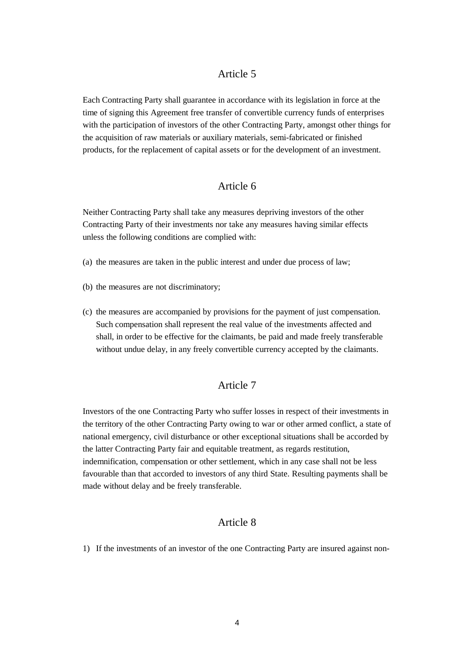Each Contracting Party shall guarantee in accordance with its legislation in force at the time of signing this Agreement free transfer of convertible currency funds of enterprises with the participation of investors of the other Contracting Party, amongst other things for the acquisition of raw materials or auxiliary materials, semi-fabricated or finished products, for the replacement of capital assets or for the development of an investment.

## Article 6

Neither Contracting Party shall take any measures depriving investors of the other Contracting Party of their investments nor take any measures having similar effects unless the following conditions are complied with:

- (a) the measures are taken in the public interest and under due process of law;
- (b) the measures are not discriminatory;
- (c) the measures are accompanied by provisions for the payment of just compensation. Such compensation shall represent the real value of the investments affected and shall, in order to be effective for the claimants, be paid and made freely transferable without undue delay, in any freely convertible currency accepted by the claimants.

### Article 7

Investors of the one Contracting Party who suffer losses in respect of their investments in the territory of the other Contracting Party owing to war or other armed conflict, a state of national emergency, civil disturbance or other exceptional situations shall be accorded by the latter Contracting Party fair and equitable treatment, as regards restitution, indemnification, compensation or other settlement, which in any case shall not be less favourable than that accorded to investors of any third State. Resulting payments shall be made without delay and be freely transferable.

#### Article 8

1) If the investments of an investor of the one Contracting Party are insured against non-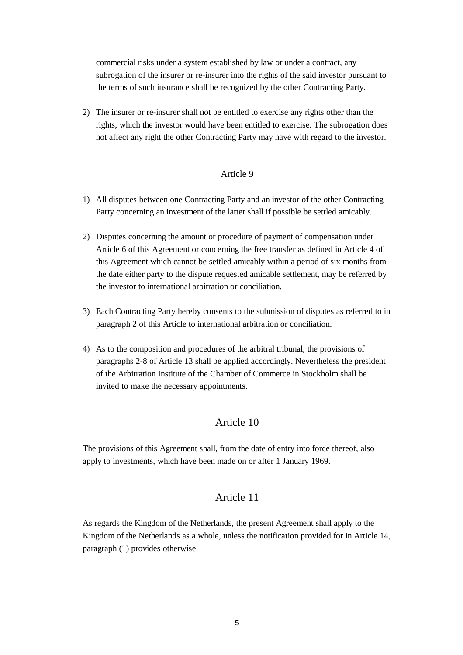commercial risks under a system established by law or under a contract, any subrogation of the insurer or re-insurer into the rights of the said investor pursuant to the terms of such insurance shall be recognized by the other Contracting Party.

2) The insurer or re-insurer shall not be entitled to exercise any rights other than the rights, which the investor would have been entitled to exercise. The subrogation does not affect any right the other Contracting Party may have with regard to the investor.

#### Article 9

- 1) All disputes between one Contracting Party and an investor of the other Contracting Party concerning an investment of the latter shall if possible be settled amicably.
- 2) Disputes concerning the amount or procedure of payment of compensation under Article 6 of this Agreement or concerning the free transfer as defined in Article 4 of this Agreement which cannot be settled amicably within a period of six months from the date either party to the dispute requested amicable settlement, may be referred by the investor to international arbitration or conciliation.
- 3) Each Contracting Party hereby consents to the submission of disputes as referred to in paragraph 2 of this Article to international arbitration or conciliation.
- 4) As to the composition and procedures of the arbitral tribunal, the provisions of paragraphs 2-8 of Article 13 shall be applied accordingly. Nevertheless the president of the Arbitration Institute of the Chamber of Commerce in Stockholm shall be invited to make the necessary appointments.

## Article 10

The provisions of this Agreement shall, from the date of entry into force thereof, also apply to investments, which have been made on or after 1 January 1969.

### Article 11

As regards the Kingdom of the Netherlands, the present Agreement shall apply to the Kingdom of the Netherlands as a whole, unless the notification provided for in Article 14, paragraph (1) provides otherwise.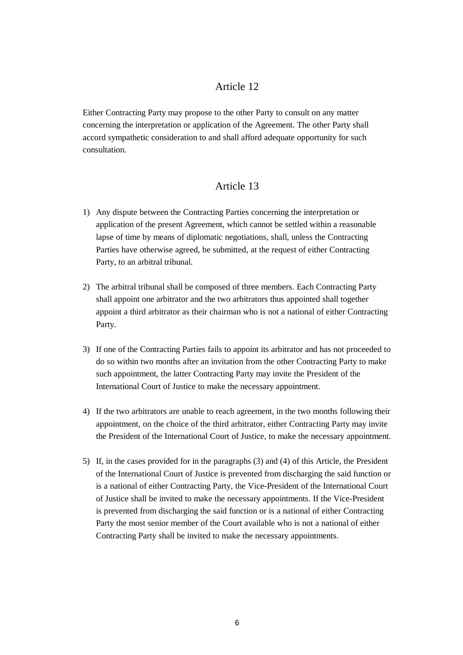Either Contracting Party may propose to the other Party to consult on any matter concerning the interpretation or application of the Agreement. The other Party shall accord sympathetic consideration to and shall afford adequate opportunity for such consultation.

## Article 13

- 1) Any dispute between the Contracting Parties concerning the interpretation or application of the present Agreement, which cannot be settled within a reasonable lapse of time by means of diplomatic negotiations, shall, unless the Contracting Parties have otherwise agreed, be submitted, at the request of either Contracting Party, to an arbitral tribunal.
- 2) The arbitral tribunal shall be composed of three members. Each Contracting Party shall appoint one arbitrator and the two arbitrators thus appointed shall together appoint a third arbitrator as their chairman who is not a national of either Contracting Party.
- 3) If one of the Contracting Parties fails to appoint its arbitrator and has not proceeded to do so within two months after an invitation from the other Contracting Party to make such appointment, the latter Contracting Party may invite the President of the International Court of Justice to make the necessary appointment.
- 4) If the two arbitrators are unable to reach agreement, in the two months following their appointment, on the choice of the third arbitrator, either Contracting Party may invite the President of the International Court of Justice, to make the necessary appointment.
- 5) If, in the cases provided for in the paragraphs (3) and (4) of this Article, the President of the International Court of Justice is prevented from discharging the said function or is a national of either Contracting Party, the Vice-President of the International Court of Justice shall be invited to make the necessary appointments. If the Vice-President is prevented from discharging the said function or is a national of either Contracting Party the most senior member of the Court available who is not a national of either Contracting Party shall be invited to make the necessary appointments.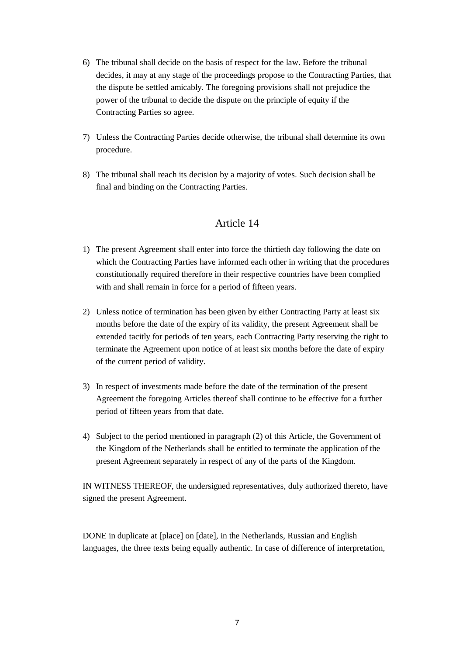- 6) The tribunal shall decide on the basis of respect for the law. Before the tribunal decides, it may at any stage of the proceedings propose to the Contracting Parties, that the dispute be settled amicably. The foregoing provisions shall not prejudice the power of the tribunal to decide the dispute on the principle of equity if the Contracting Parties so agree.
- 7) Unless the Contracting Parties decide otherwise, the tribunal shall determine its own procedure.
- 8) The tribunal shall reach its decision by a majority of votes. Such decision shall be final and binding on the Contracting Parties.

- 1) The present Agreement shall enter into force the thirtieth day following the date on which the Contracting Parties have informed each other in writing that the procedures constitutionally required therefore in their respective countries have been complied with and shall remain in force for a period of fifteen years.
- 2) Unless notice of termination has been given by either Contracting Party at least six months before the date of the expiry of its validity, the present Agreement shall be extended tacitly for periods of ten years, each Contracting Party reserving the right to terminate the Agreement upon notice of at least six months before the date of expiry of the current period of validity.
- 3) In respect of investments made before the date of the termination of the present Agreement the foregoing Articles thereof shall continue to be effective for a further period of fifteen years from that date.
- 4) Subject to the period mentioned in paragraph (2) of this Article, the Government of the Kingdom of the Netherlands shall be entitled to terminate the application of the present Agreement separately in respect of any of the parts of the Kingdom.

IN WITNESS THEREOF, the undersigned representatives, duly authorized thereto, have signed the present Agreement.

DONE in duplicate at [place] on [date], in the Netherlands, Russian and English languages, the three texts being equally authentic. In case of difference of interpretation,